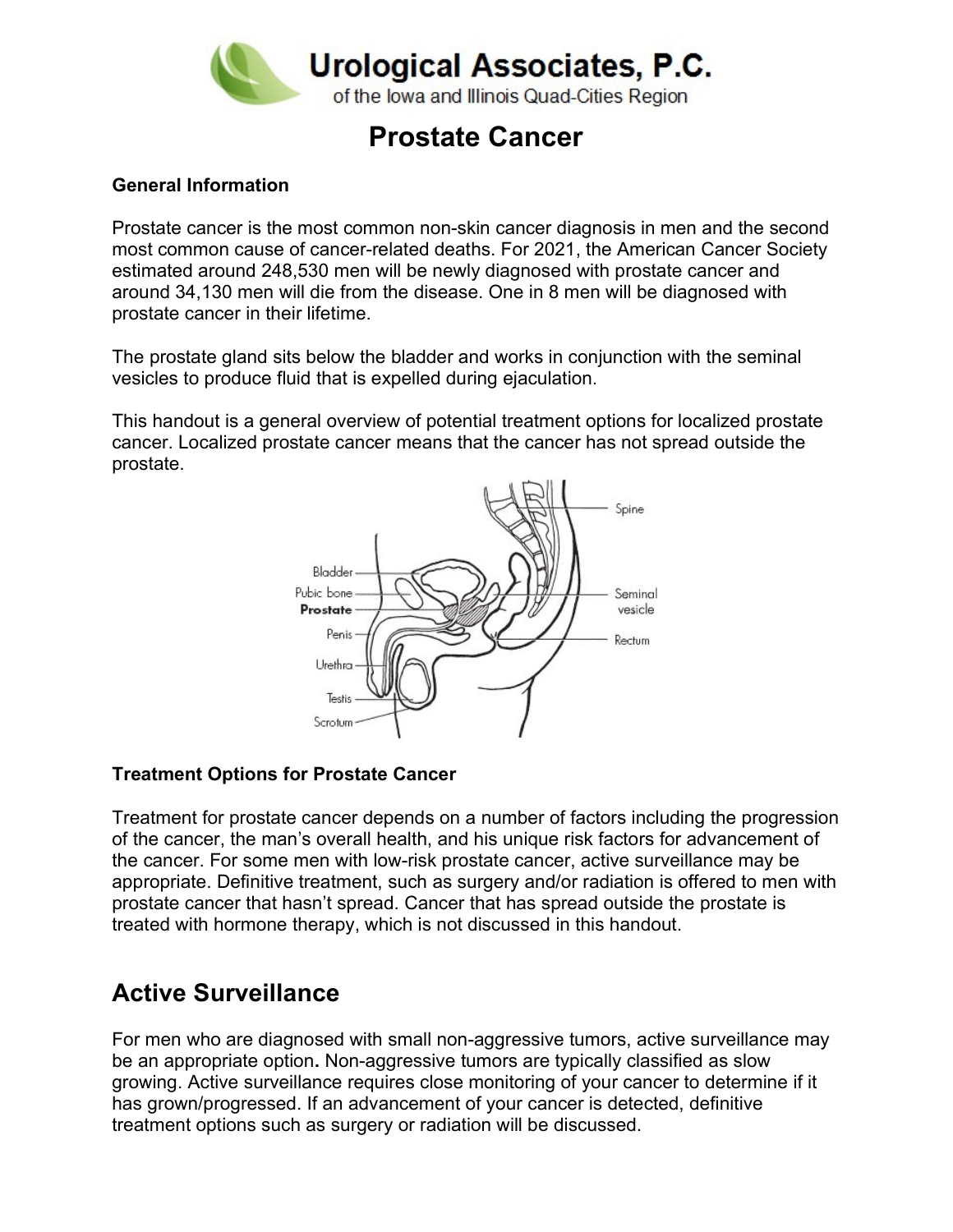

# Prostate Cancer

#### General Information

Prostate cancer is the most common non-skin cancer diagnosis in men and the second most common cause of cancer-related deaths. For 2021, the American Cancer Society estimated around 248,530 men will be newly diagnosed with prostate cancer and around 34,130 men will die from the disease. One in 8 men will be diagnosed with prostate cancer in their lifetime.

The prostate gland sits below the bladder and works in conjunction with the seminal vesicles to produce fluid that is expelled during ejaculation.

This handout is a general overview of potential treatment options for localized prostate cancer. Localized prostate cancer means that the cancer has not spread outside the prostate.



#### Treatment Options for Prostate Cancer

Treatment for prostate cancer depends on a number of factors including the progression of the cancer, the man's overall health, and his unique risk factors for advancement of the cancer. For some men with low-risk prostate cancer, active surveillance may be appropriate. Definitive treatment, such as surgery and/or radiation is offered to men with prostate cancer that hasn't spread. Cancer that has spread outside the prostate is treated with hormone therapy, which is not discussed in this handout.

### Active Surveillance

For men who are diagnosed with small non-aggressive tumors, active surveillance may be an appropriate option. Non-aggressive tumors are typically classified as slow growing. Active surveillance requires close monitoring of your cancer to determine if it has grown/progressed. If an advancement of your cancer is detected, definitive treatment options such as surgery or radiation will be discussed.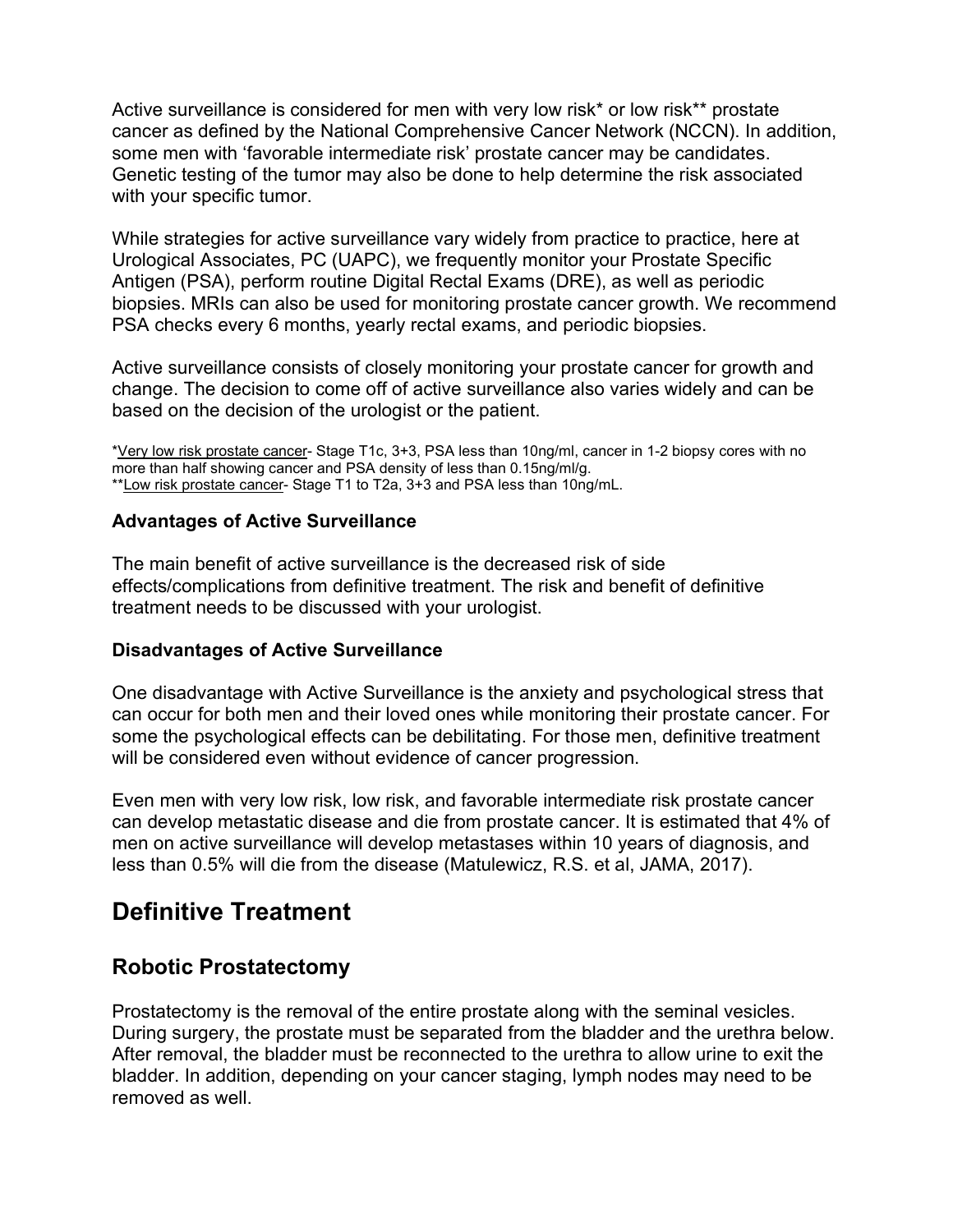Active surveillance is considered for men with very low risk\* or low risk\*\* prostate cancer as defined by the National Comprehensive Cancer Network (NCCN). In addition, some men with 'favorable intermediate risk' prostate cancer may be candidates. Genetic testing of the tumor may also be done to help determine the risk associated with your specific tumor.

While strategies for active surveillance vary widely from practice to practice, here at Urological Associates, PC (UAPC), we frequently monitor your Prostate Specific Antigen (PSA), perform routine Digital Rectal Exams (DRE), as well as periodic biopsies. MRIs can also be used for monitoring prostate cancer growth. We recommend PSA checks every 6 months, yearly rectal exams, and periodic biopsies.

Active surveillance consists of closely monitoring your prostate cancer for growth and change. The decision to come off of active surveillance also varies widely and can be based on the decision of the urologist or the patient.

\*Very low risk prostate cancer- Stage T1c, 3+3, PSA less than 10ng/ml, cancer in 1-2 biopsy cores with no more than half showing cancer and PSA density of less than 0.15ng/ml/g. \*\*Low risk prostate cancer- Stage T1 to T2a, 3+3 and PSA less than 10ng/mL.

#### Advantages of Active Surveillance

The main benefit of active surveillance is the decreased risk of side effects/complications from definitive treatment. The risk and benefit of definitive treatment needs to be discussed with your urologist.

#### Disadvantages of Active Surveillance

One disadvantage with Active Surveillance is the anxiety and psychological stress that can occur for both men and their loved ones while monitoring their prostate cancer. For some the psychological effects can be debilitating. For those men, definitive treatment will be considered even without evidence of cancer progression.

Even men with very low risk, low risk, and favorable intermediate risk prostate cancer can develop metastatic disease and die from prostate cancer. It is estimated that 4% of men on active surveillance will develop metastases within 10 years of diagnosis, and less than 0.5% will die from the disease (Matulewicz, R.S. et al, JAMA, 2017).

# Definitive Treatment

### Robotic Prostatectomy

Prostatectomy is the removal of the entire prostate along with the seminal vesicles. During surgery, the prostate must be separated from the bladder and the urethra below. After removal, the bladder must be reconnected to the urethra to allow urine to exit the bladder. In addition, depending on your cancer staging, lymph nodes may need to be removed as well.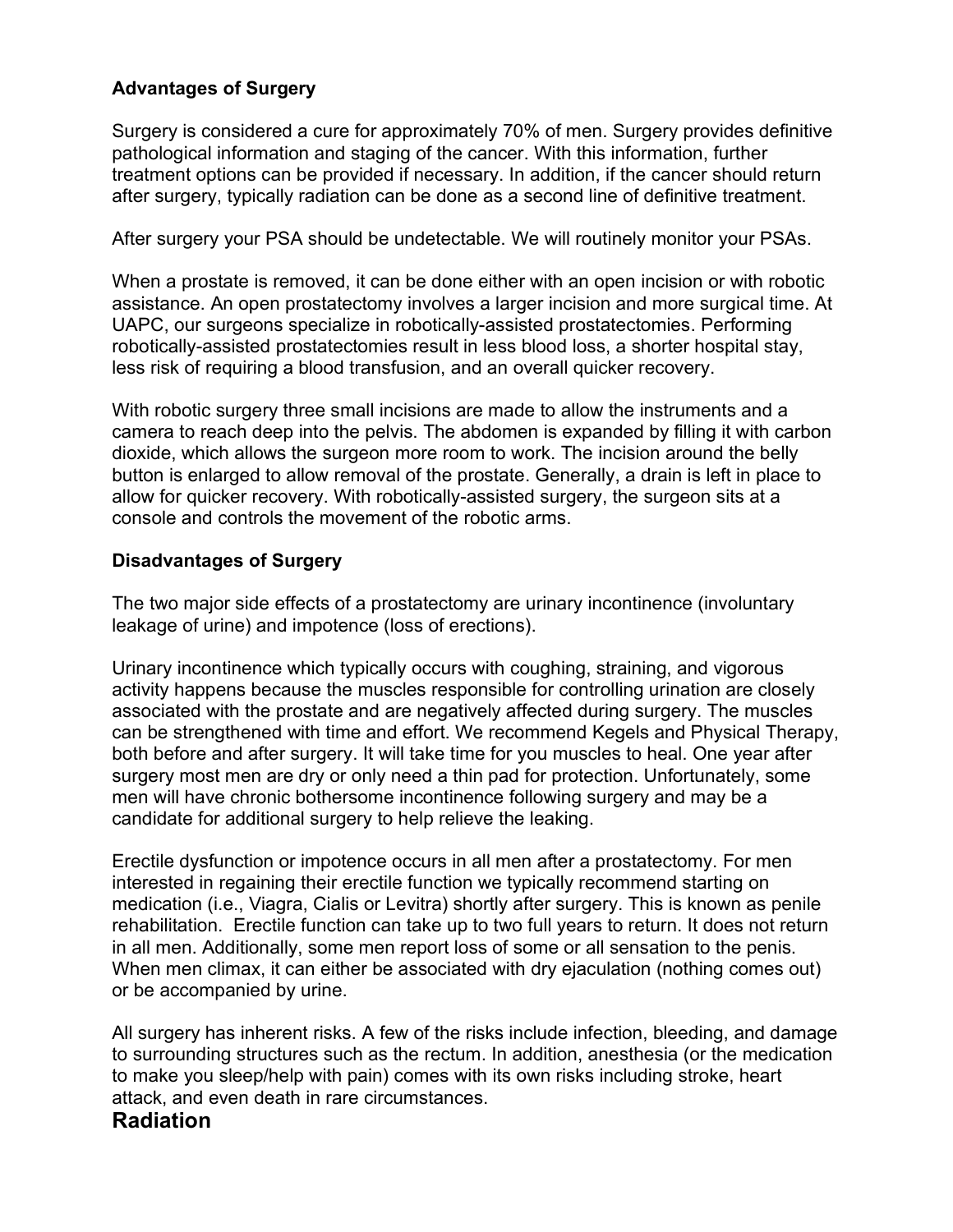#### Advantages of Surgery

Surgery is considered a cure for approximately 70% of men. Surgery provides definitive pathological information and staging of the cancer. With this information, further treatment options can be provided if necessary. In addition, if the cancer should return after surgery, typically radiation can be done as a second line of definitive treatment.

After surgery your PSA should be undetectable. We will routinely monitor your PSAs.

When a prostate is removed, it can be done either with an open incision or with robotic assistance. An open prostatectomy involves a larger incision and more surgical time. At UAPC, our surgeons specialize in robotically-assisted prostatectomies. Performing robotically-assisted prostatectomies result in less blood loss, a shorter hospital stay, less risk of requiring a blood transfusion, and an overall quicker recovery.

With robotic surgery three small incisions are made to allow the instruments and a camera to reach deep into the pelvis. The abdomen is expanded by filling it with carbon dioxide, which allows the surgeon more room to work. The incision around the belly button is enlarged to allow removal of the prostate. Generally, a drain is left in place to allow for quicker recovery. With robotically-assisted surgery, the surgeon sits at a console and controls the movement of the robotic arms.

#### Disadvantages of Surgery

The two major side effects of a prostatectomy are urinary incontinence (involuntary leakage of urine) and impotence (loss of erections).

Urinary incontinence which typically occurs with coughing, straining, and vigorous activity happens because the muscles responsible for controlling urination are closely associated with the prostate and are negatively affected during surgery. The muscles can be strengthened with time and effort. We recommend Kegels and Physical Therapy, both before and after surgery. It will take time for you muscles to heal. One year after surgery most men are dry or only need a thin pad for protection. Unfortunately, some men will have chronic bothersome incontinence following surgery and may be a candidate for additional surgery to help relieve the leaking.

Erectile dysfunction or impotence occurs in all men after a prostatectomy. For men interested in regaining their erectile function we typically recommend starting on medication (i.e., Viagra, Cialis or Levitra) shortly after surgery. This is known as penile rehabilitation. Erectile function can take up to two full years to return. It does not return in all men. Additionally, some men report loss of some or all sensation to the penis. When men climax, it can either be associated with dry ejaculation (nothing comes out) or be accompanied by urine.

All surgery has inherent risks. A few of the risks include infection, bleeding, and damage to surrounding structures such as the rectum. In addition, anesthesia (or the medication to make you sleep/help with pain) comes with its own risks including stroke, heart attack, and even death in rare circumstances.

#### Radiation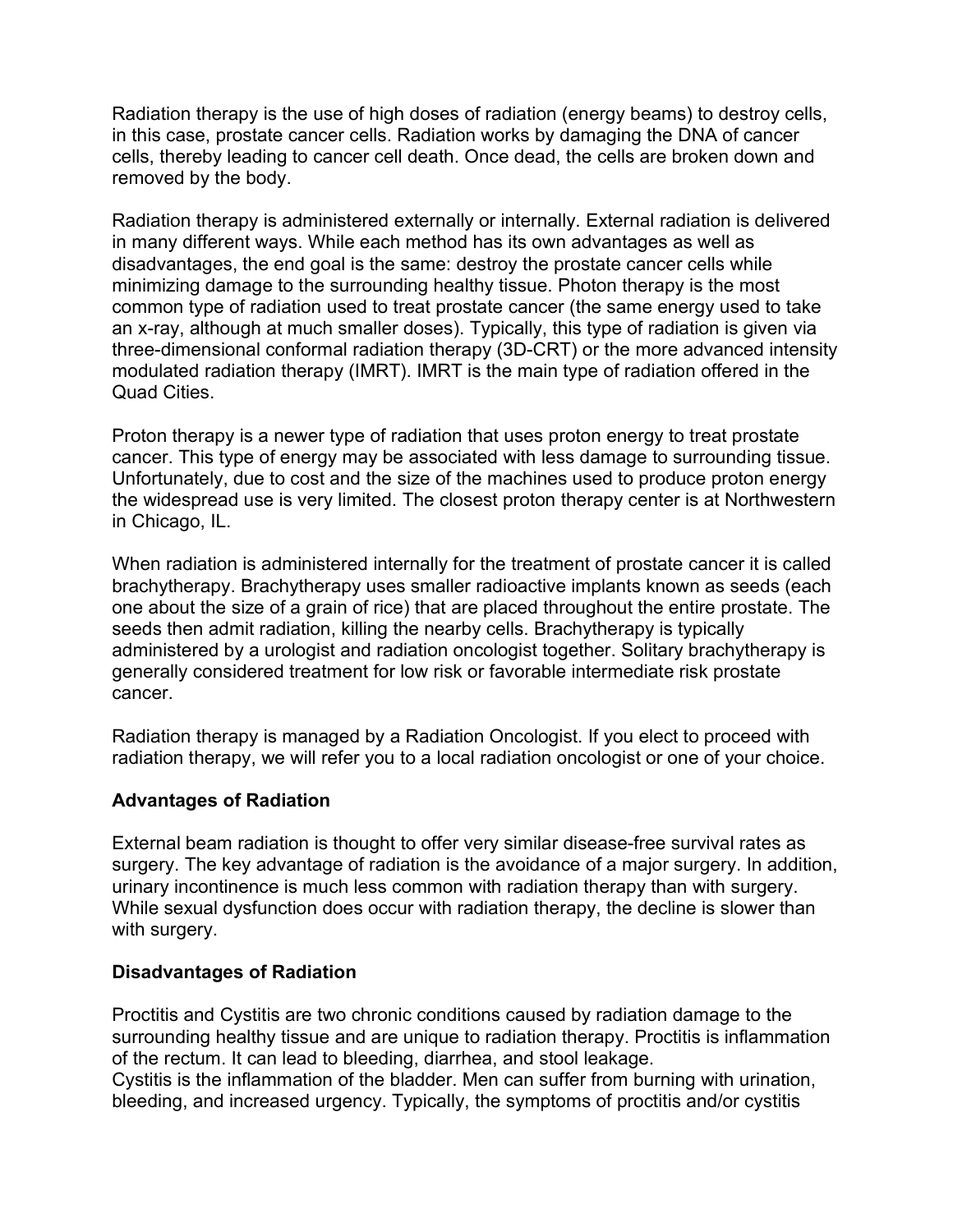Radiation therapy is the use of high doses of radiation (energy beams) to destroy cells, in this case, prostate cancer cells. Radiation works by damaging the DNA of cancer cells, thereby leading to cancer cell death. Once dead, the cells are broken down and removed by the body.

Radiation therapy is administered externally or internally. External radiation is delivered in many different ways. While each method has its own advantages as well as disadvantages, the end goal is the same: destroy the prostate cancer cells while minimizing damage to the surrounding healthy tissue. Photon therapy is the most common type of radiation used to treat prostate cancer (the same energy used to take an x-ray, although at much smaller doses). Typically, this type of radiation is given via three-dimensional conformal radiation therapy (3D-CRT) or the more advanced intensity modulated radiation therapy (IMRT). IMRT is the main type of radiation offered in the Quad Cities.

Proton therapy is a newer type of radiation that uses proton energy to treat prostate cancer. This type of energy may be associated with less damage to surrounding tissue. Unfortunately, due to cost and the size of the machines used to produce proton energy the widespread use is very limited. The closest proton therapy center is at Northwestern in Chicago, IL.

When radiation is administered internally for the treatment of prostate cancer it is called brachytherapy. Brachytherapy uses smaller radioactive implants known as seeds (each one about the size of a grain of rice) that are placed throughout the entire prostate. The seeds then admit radiation, killing the nearby cells. Brachytherapy is typically administered by a urologist and radiation oncologist together. Solitary brachytherapy is generally considered treatment for low risk or favorable intermediate risk prostate cancer.

Radiation therapy is managed by a Radiation Oncologist. If you elect to proceed with radiation therapy, we will refer you to a local radiation oncologist or one of your choice.

#### Advantages of Radiation

External beam radiation is thought to offer very similar disease-free survival rates as surgery. The key advantage of radiation is the avoidance of a major surgery. In addition, urinary incontinence is much less common with radiation therapy than with surgery. While sexual dysfunction does occur with radiation therapy, the decline is slower than with surgery.

#### Disadvantages of Radiation

Proctitis and Cystitis are two chronic conditions caused by radiation damage to the surrounding healthy tissue and are unique to radiation therapy. Proctitis is inflammation of the rectum. It can lead to bleeding, diarrhea, and stool leakage.

Cystitis is the inflammation of the bladder. Men can suffer from burning with urination, bleeding, and increased urgency. Typically, the symptoms of proctitis and/or cystitis